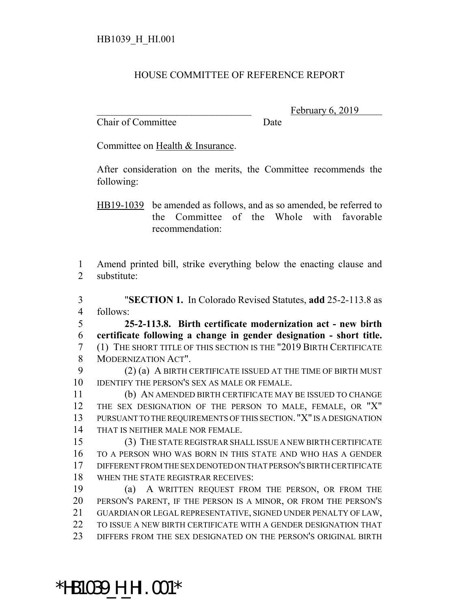## HOUSE COMMITTEE OF REFERENCE REPORT

Chair of Committee Date

\*HB1039\_H\_HI.001\*

February 6, 2019

Committee on Health & Insurance.

After consideration on the merits, the Committee recommends the following:

HB19-1039 be amended as follows, and as so amended, be referred to the Committee of the Whole with favorable recommendation:

 Amend printed bill, strike everything below the enacting clause and substitute:

 "**SECTION 1.** In Colorado Revised Statutes, **add** 25-2-113.8 as follows:

 **25-2-113.8. Birth certificate modernization act - new birth certificate following a change in gender designation - short title.** (1) THE SHORT TITLE OF THIS SECTION IS THE "2019 BIRTH CERTIFICATE MODERNIZATION ACT".

 (2) (a) A BIRTH CERTIFICATE ISSUED AT THE TIME OF BIRTH MUST IDENTIFY THE PERSON'S SEX AS MALE OR FEMALE.

 (b) AN AMENDED BIRTH CERTIFICATE MAY BE ISSUED TO CHANGE THE SEX DESIGNATION OF THE PERSON TO MALE, FEMALE, OR "X" PURSUANT TO THE REQUIREMENTS OF THIS SECTION. "X" IS A DESIGNATION THAT IS NEITHER MALE NOR FEMALE.

 (3) THE STATE REGISTRAR SHALL ISSUE A NEW BIRTH CERTIFICATE TO A PERSON WHO WAS BORN IN THIS STATE AND WHO HAS A GENDER DIFFERENT FROM THE SEX DENOTED ON THAT PERSON'S BIRTH CERTIFICATE WHEN THE STATE REGISTRAR RECEIVES:

 (a) A WRITTEN REQUEST FROM THE PERSON, OR FROM THE PERSON'S PARENT, IF THE PERSON IS A MINOR, OR FROM THE PERSON'S GUARDIAN OR LEGAL REPRESENTATIVE, SIGNED UNDER PENALTY OF LAW, TO ISSUE A NEW BIRTH CERTIFICATE WITH A GENDER DESIGNATION THAT DIFFERS FROM THE SEX DESIGNATED ON THE PERSON'S ORIGINAL BIRTH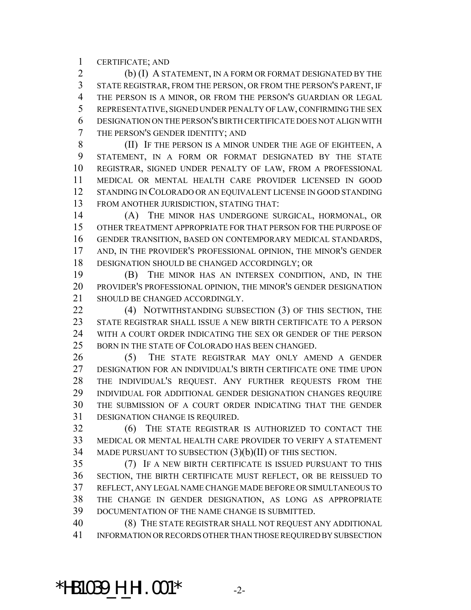CERTIFICATE; AND

 (b) (I) A STATEMENT, IN A FORM OR FORMAT DESIGNATED BY THE STATE REGISTRAR, FROM THE PERSON, OR FROM THE PERSON'S PARENT, IF 4 THE PERSON IS A MINOR, OR FROM THE PERSON'S GUARDIAN OR LEGAL REPRESENTATIVE, SIGNED UNDER PENALTY OF LAW, CONFIRMING THE SEX DESIGNATION ON THE PERSON'S BIRTH CERTIFICATE DOES NOT ALIGN WITH THE PERSON'S GENDER IDENTITY; AND

 (II) IF THE PERSON IS A MINOR UNDER THE AGE OF EIGHTEEN, A STATEMENT, IN A FORM OR FORMAT DESIGNATED BY THE STATE REGISTRAR, SIGNED UNDER PENALTY OF LAW, FROM A PROFESSIONAL MEDICAL OR MENTAL HEALTH CARE PROVIDER LICENSED IN GOOD STANDING IN COLORADO OR AN EQUIVALENT LICENSE IN GOOD STANDING FROM ANOTHER JURISDICTION, STATING THAT:

 (A) THE MINOR HAS UNDERGONE SURGICAL, HORMONAL, OR OTHER TREATMENT APPROPRIATE FOR THAT PERSON FOR THE PURPOSE OF GENDER TRANSITION, BASED ON CONTEMPORARY MEDICAL STANDARDS, AND, IN THE PROVIDER'S PROFESSIONAL OPINION, THE MINOR'S GENDER DESIGNATION SHOULD BE CHANGED ACCORDINGLY; OR

 (B) THE MINOR HAS AN INTERSEX CONDITION, AND, IN THE PROVIDER'S PROFESSIONAL OPINION, THE MINOR'S GENDER DESIGNATION SHOULD BE CHANGED ACCORDINGLY.

22 (4) NOTWITHSTANDING SUBSECTION (3) OF THIS SECTION, THE STATE REGISTRAR SHALL ISSUE A NEW BIRTH CERTIFICATE TO A PERSON WITH A COURT ORDER INDICATING THE SEX OR GENDER OF THE PERSON 25 BORN IN THE STATE OF COLORADO HAS BEEN CHANGED.

 (5) THE STATE REGISTRAR MAY ONLY AMEND A GENDER DESIGNATION FOR AN INDIVIDUAL'S BIRTH CERTIFICATE ONE TIME UPON THE INDIVIDUAL'S REQUEST. ANY FURTHER REQUESTS FROM THE INDIVIDUAL FOR ADDITIONAL GENDER DESIGNATION CHANGES REQUIRE THE SUBMISSION OF A COURT ORDER INDICATING THAT THE GENDER DESIGNATION CHANGE IS REQUIRED.

 (6) THE STATE REGISTRAR IS AUTHORIZED TO CONTACT THE MEDICAL OR MENTAL HEALTH CARE PROVIDER TO VERIFY A STATEMENT MADE PURSUANT TO SUBSECTION (3)(b)(II) OF THIS SECTION.

 (7) IF A NEW BIRTH CERTIFICATE IS ISSUED PURSUANT TO THIS SECTION, THE BIRTH CERTIFICATE MUST REFLECT, OR BE REISSUED TO REFLECT, ANY LEGAL NAME CHANGE MADE BEFORE OR SIMULTANEOUS TO THE CHANGE IN GENDER DESIGNATION, AS LONG AS APPROPRIATE DOCUMENTATION OF THE NAME CHANGE IS SUBMITTED.

 (8) THE STATE REGISTRAR SHALL NOT REQUEST ANY ADDITIONAL INFORMATION OR RECORDS OTHER THAN THOSE REQUIRED BY SUBSECTION

\*HB1039\_H\_HI.001\* -2-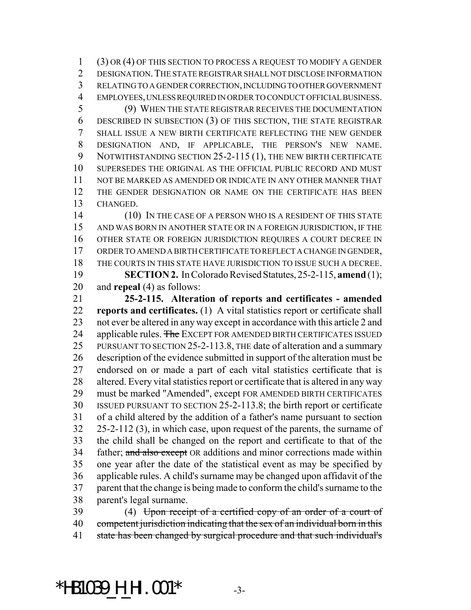(3) OR (4) OF THIS SECTION TO PROCESS A REQUEST TO MODIFY A GENDER DESIGNATION.THE STATE REGISTRAR SHALL NOT DISCLOSE INFORMATION RELATING TO A GENDER CORRECTION, INCLUDING TO OTHER GOVERNMENT EMPLOYEES, UNLESS REQUIRED IN ORDER TO CONDUCT OFFICIAL BUSINESS.

 (9) WHEN THE STATE REGISTRAR RECEIVES THE DOCUMENTATION DESCRIBED IN SUBSECTION (3) OF THIS SECTION, THE STATE REGISTRAR SHALL ISSUE A NEW BIRTH CERTIFICATE REFLECTING THE NEW GENDER DESIGNATION AND, IF APPLICABLE, THE PERSON'S NEW NAME. 9 NOTWITHSTANDING SECTION 25-2-115 (1), THE NEW BIRTH CERTIFICATE SUPERSEDES THE ORIGINAL AS THE OFFICIAL PUBLIC RECORD AND MUST NOT BE MARKED AS AMENDED OR INDICATE IN ANY OTHER MANNER THAT THE GENDER DESIGNATION OR NAME ON THE CERTIFICATE HAS BEEN CHANGED.

14 (10) IN THE CASE OF A PERSON WHO IS A RESIDENT OF THIS STATE AND WAS BORN IN ANOTHER STATE OR IN A FOREIGN JURISDICTION, IF THE OTHER STATE OR FOREIGN JURISDICTION REQUIRES A COURT DECREE IN ORDER TO AMEND A BIRTH CERTIFICATE TO REFLECT A CHANGE IN GENDER, THE COURTS IN THIS STATE HAVE JURISDICTION TO ISSUE SUCH A DECREE. **SECTION 2.** In Colorado Revised Statutes, 25-2-115, **amend** (1);

and **repeal** (4) as follows:

 **25-2-115. Alteration of reports and certificates - amended reports and certificates.** (1) A vital statistics report or certificate shall not ever be altered in any way except in accordance with this article 2 and 24 applicable rules. The EXCEPT FOR AMENDED BIRTH CERTIFICATES ISSUED PURSUANT TO SECTION 25-2-113.8, THE date of alteration and a summary description of the evidence submitted in support of the alteration must be endorsed on or made a part of each vital statistics certificate that is altered. Every vital statistics report or certificate that is altered in any way must be marked "Amended", except FOR AMENDED BIRTH CERTIFICATES ISSUED PURSUANT TO SECTION 25-2-113.8; the birth report or certificate of a child altered by the addition of a father's name pursuant to section 25-2-112 (3), in which case, upon request of the parents, the surname of the child shall be changed on the report and certificate to that of the 34 father; and also except OR additions and minor corrections made within one year after the date of the statistical event as may be specified by applicable rules. A child's surname may be changed upon affidavit of the parent that the change is being made to conform the child's surname to the parent's legal surname.

39 (4) Upon receipt of a certified copy of an order of a court of competent jurisdiction indicating that the sex of an individual born in this 41 state has been changed by surgical procedure and that such individual's

## \*HB1039\_H\_HI.001\* -3-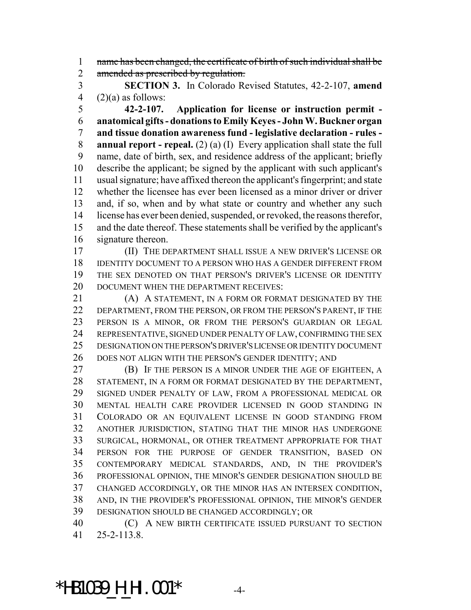name has been changed, the certificate of birth of such individual shall be 2 amended as prescribed by regulation.

 **SECTION 3.** In Colorado Revised Statutes, 42-2-107, **amend** 4  $(2)(a)$  as follows:

 **42-2-107. Application for license or instruction permit - anatomical gifts - donations to Emily Keyes - John W. Buckner organ and tissue donation awareness fund - legislative declaration - rules - annual report - repeal.** (2) (a) (I) Every application shall state the full name, date of birth, sex, and residence address of the applicant; briefly describe the applicant; be signed by the applicant with such applicant's usual signature; have affixed thereon the applicant's fingerprint; and state whether the licensee has ever been licensed as a minor driver or driver and, if so, when and by what state or country and whether any such license has ever been denied, suspended, or revoked, the reasons therefor, and the date thereof. These statements shall be verified by the applicant's signature thereon.

 (II) THE DEPARTMENT SHALL ISSUE A NEW DRIVER'S LICENSE OR IDENTITY DOCUMENT TO A PERSON WHO HAS A GENDER DIFFERENT FROM THE SEX DENOTED ON THAT PERSON'S DRIVER'S LICENSE OR IDENTITY DOCUMENT WHEN THE DEPARTMENT RECEIVES:

**(A) A STATEMENT, IN A FORM OR FORMAT DESIGNATED BY THE**  DEPARTMENT, FROM THE PERSON, OR FROM THE PERSON'S PARENT, IF THE PERSON IS A MINOR, OR FROM THE PERSON'S GUARDIAN OR LEGAL REPRESENTATIVE, SIGNED UNDER PENALTY OF LAW, CONFIRMING THE SEX DESIGNATION ON THE PERSON'S DRIVER'S LICENSE OR IDENTITY DOCUMENT DOES NOT ALIGN WITH THE PERSON'S GENDER IDENTITY; AND

 (B) IF THE PERSON IS A MINOR UNDER THE AGE OF EIGHTEEN, A STATEMENT, IN A FORM OR FORMAT DESIGNATED BY THE DEPARTMENT, SIGNED UNDER PENALTY OF LAW, FROM A PROFESSIONAL MEDICAL OR MENTAL HEALTH CARE PROVIDER LICENSED IN GOOD STANDING IN COLORADO OR AN EQUIVALENT LICENSE IN GOOD STANDING FROM ANOTHER JURISDICTION, STATING THAT THE MINOR HAS UNDERGONE SURGICAL, HORMONAL, OR OTHER TREATMENT APPROPRIATE FOR THAT PERSON FOR THE PURPOSE OF GENDER TRANSITION, BASED ON CONTEMPORARY MEDICAL STANDARDS, AND, IN THE PROVIDER'S PROFESSIONAL OPINION, THE MINOR'S GENDER DESIGNATION SHOULD BE CHANGED ACCORDINGLY, OR THE MINOR HAS AN INTERSEX CONDITION, AND, IN THE PROVIDER'S PROFESSIONAL OPINION, THE MINOR'S GENDER DESIGNATION SHOULD BE CHANGED ACCORDINGLY; OR

 (C) A NEW BIRTH CERTIFICATE ISSUED PURSUANT TO SECTION 25-2-113.8.

\*HB1039\_H\_HI.001\* -4-